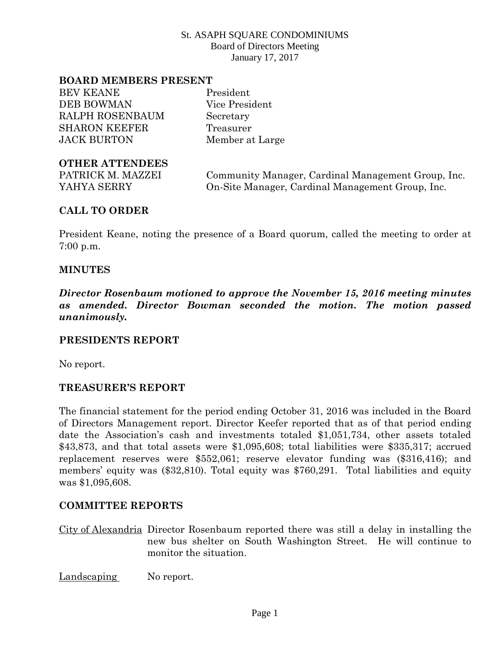#### **BOARD MEMBERS PRESENT**

BEV KEANE President DEB BOWMAN Vice President RALPH ROSENBAUM Secretary SHARON KEEFER Treasurer JACK BURTON Member at Large

### **OTHER ATTENDEES**

PATRICK M. MAZZEI Community Manager, Cardinal Management Group, Inc. YAHYA SERRY On-Site Manager, Cardinal Management Group, Inc.

### **CALL TO ORDER**

President Keane, noting the presence of a Board quorum, called the meeting to order at 7:00 p.m.

#### **MINUTES**

*Director Rosenbaum motioned to approve the November 15, 2016 meeting minutes as amended. Director Bowman seconded the motion. The motion passed unanimously.*

#### **PRESIDENTS REPORT**

No report.

### **TREASURER'S REPORT**

The financial statement for the period ending October 31, 2016 was included in the Board of Directors Management report. Director Keefer reported that as of that period ending date the Association's cash and investments totaled \$1,051,734, other assets totaled \$43,873, and that total assets were \$1,095,608; total liabilities were \$335,317; accrued replacement reserves were \$552,061; reserve elevator funding was (\$316,416); and members' equity was (\$32,810). Total equity was \$760,291. Total liabilities and equity was \$1,095,608.

#### **COMMITTEE REPORTS**

City of Alexandria Director Rosenbaum reported there was still a delay in installing the new bus shelter on South Washington Street. He will continue to monitor the situation.

Landscaping No report.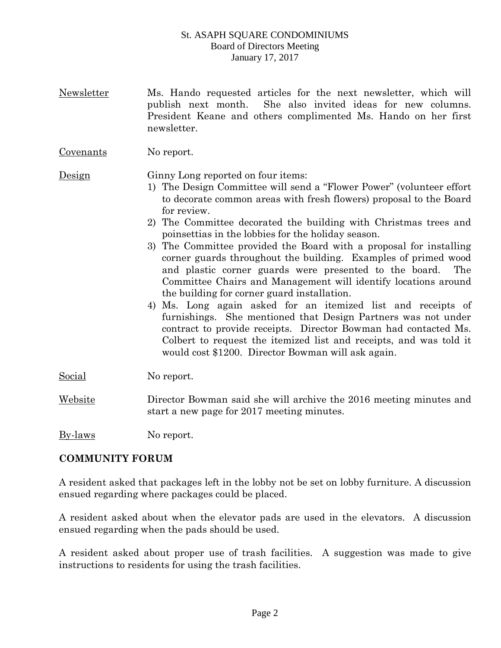Newsletter Ms. Hando requested articles for the next newsletter, which will publish next month. She also invited ideas for new columns. President Keane and others complimented Ms. Hando on her first newsletter.

Covenants No report.

Design Ginny Long reported on four items:

- 1) The Design Committee will send a "Flower Power" (volunteer effort to decorate common areas with fresh flowers) proposal to the Board for review.
- 2) The Committee decorated the building with Christmas trees and poinsettias in the lobbies for the holiday season.
- 3) The Committee provided the Board with a proposal for installing corner guards throughout the building. Examples of primed wood and plastic corner guards were presented to the board. The Committee Chairs and Management will identify locations around the building for corner guard installation.
- 4) Ms. Long again asked for an itemized list and receipts of furnishings. She mentioned that Design Partners was not under contract to provide receipts. Director Bowman had contacted Ms. Colbert to request the itemized list and receipts, and was told it would cost \$1200. Director Bowman will ask again.
- Social No report.
- Website Director Bowman said she will archive the 2016 meeting minutes and start a new page for 2017 meeting minutes.

By-laws No report.

# **COMMUNITY FORUM**

A resident asked that packages left in the lobby not be set on lobby furniture. A discussion ensued regarding where packages could be placed.

A resident asked about when the elevator pads are used in the elevators. A discussion ensued regarding when the pads should be used.

A resident asked about proper use of trash facilities. A suggestion was made to give instructions to residents for using the trash facilities.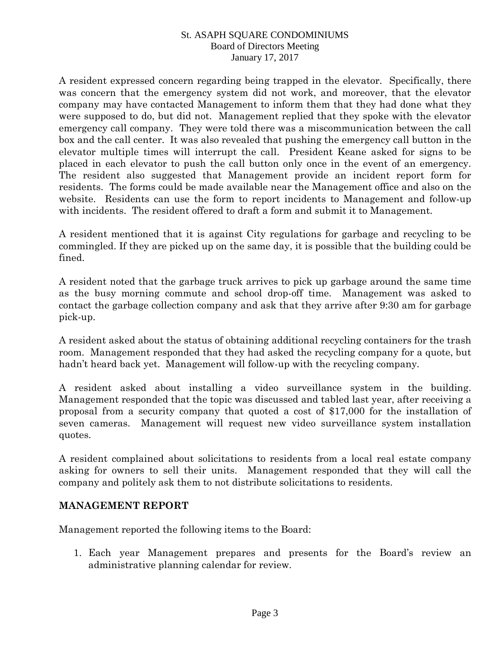A resident expressed concern regarding being trapped in the elevator. Specifically, there was concern that the emergency system did not work, and moreover, that the elevator company may have contacted Management to inform them that they had done what they were supposed to do, but did not. Management replied that they spoke with the elevator emergency call company. They were told there was a miscommunication between the call box and the call center. It was also revealed that pushing the emergency call button in the elevator multiple times will interrupt the call. President Keane asked for signs to be placed in each elevator to push the call button only once in the event of an emergency. The resident also suggested that Management provide an incident report form for residents. The forms could be made available near the Management office and also on the website. Residents can use the form to report incidents to Management and follow-up with incidents. The resident offered to draft a form and submit it to Management.

A resident mentioned that it is against City regulations for garbage and recycling to be commingled. If they are picked up on the same day, it is possible that the building could be fined.

A resident noted that the garbage truck arrives to pick up garbage around the same time as the busy morning commute and school drop-off time. Management was asked to contact the garbage collection company and ask that they arrive after 9:30 am for garbage pick-up.

A resident asked about the status of obtaining additional recycling containers for the trash room. Management responded that they had asked the recycling company for a quote, but hadn't heard back yet. Management will follow-up with the recycling company.

A resident asked about installing a video surveillance system in the building. Management responded that the topic was discussed and tabled last year, after receiving a proposal from a security company that quoted a cost of \$17,000 for the installation of seven cameras. Management will request new video surveillance system installation quotes.

A resident complained about solicitations to residents from a local real estate company asking for owners to sell their units. Management responded that they will call the company and politely ask them to not distribute solicitations to residents.

### **MANAGEMENT REPORT**

Management reported the following items to the Board:

1. Each year Management prepares and presents for the Board's review an administrative planning calendar for review.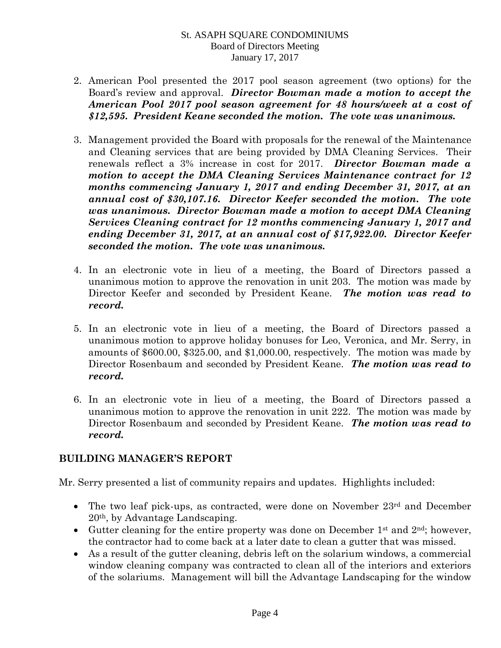- 2. American Pool presented the 2017 pool season agreement (two options) for the Board's review and approval. *Director Bowman made a motion to accept the American Pool 2017 pool season agreement for 48 hours/week at a cost of \$12,595. President Keane seconded the motion. The vote was unanimous.*
- 3. Management provided the Board with proposals for the renewal of the Maintenance and Cleaning services that are being provided by DMA Cleaning Services. Their renewals reflect a 3% increase in cost for 2017. *Director Bowman made a motion to accept the DMA Cleaning Services Maintenance contract for 12 months commencing January 1, 2017 and ending December 31, 2017, at an annual cost of \$30,107.16. Director Keefer seconded the motion. The vote was unanimous. Director Bowman made a motion to accept DMA Cleaning Services Cleaning contract for 12 months commencing January 1, 2017 and ending December 31, 2017, at an annual cost of \$17,922.00. Director Keefer seconded the motion. The vote was unanimous.*
- 4. In an electronic vote in lieu of a meeting, the Board of Directors passed a unanimous motion to approve the renovation in unit 203. The motion was made by Director Keefer and seconded by President Keane. *The motion was read to record.*
- 5. In an electronic vote in lieu of a meeting, the Board of Directors passed a unanimous motion to approve holiday bonuses for Leo, Veronica, and Mr. Serry, in amounts of \$600.00, \$325.00, and \$1,000.00, respectively. The motion was made by Director Rosenbaum and seconded by President Keane. *The motion was read to record.*
- 6. In an electronic vote in lieu of a meeting, the Board of Directors passed a unanimous motion to approve the renovation in unit 222. The motion was made by Director Rosenbaum and seconded by President Keane. *The motion was read to record.*

# **BUILDING MANAGER'S REPORT**

Mr. Serry presented a list of community repairs and updates. Highlights included:

- The two leaf pick-ups, as contracted, were done on November 23rd and December 20th, by Advantage Landscaping.
- Gutter cleaning for the entire property was done on December  $1<sup>st</sup>$  and  $2<sup>nd</sup>$ ; however, the contractor had to come back at a later date to clean a gutter that was missed.
- As a result of the gutter cleaning, debris left on the solarium windows, a commercial window cleaning company was contracted to clean all of the interiors and exteriors of the solariums. Management will bill the Advantage Landscaping for the window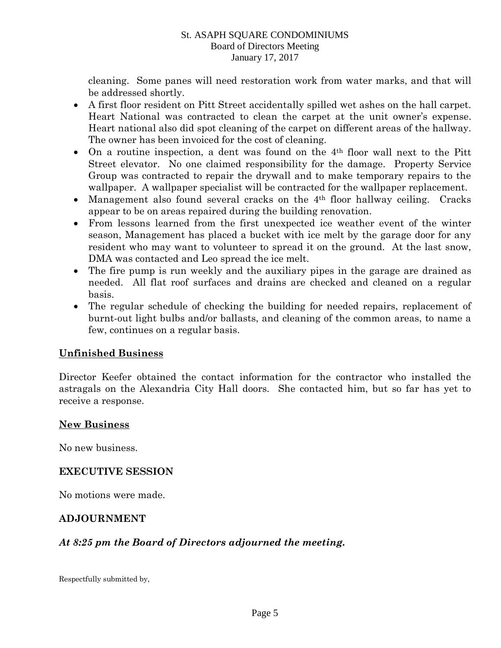cleaning. Some panes will need restoration work from water marks, and that will be addressed shortly.

- A first floor resident on Pitt Street accidentally spilled wet ashes on the hall carpet. Heart National was contracted to clean the carpet at the unit owner's expense. Heart national also did spot cleaning of the carpet on different areas of the hallway. The owner has been invoiced for the cost of cleaning.
- On a routine inspection, a dent was found on the 4<sup>th</sup> floor wall next to the Pitt Street elevator. No one claimed responsibility for the damage. Property Service Group was contracted to repair the drywall and to make temporary repairs to the wallpaper. A wallpaper specialist will be contracted for the wallpaper replacement.
- Management also found several cracks on the 4<sup>th</sup> floor hallway ceiling. Cracks appear to be on areas repaired during the building renovation.
- From lessons learned from the first unexpected ice weather event of the winter season, Management has placed a bucket with ice melt by the garage door for any resident who may want to volunteer to spread it on the ground. At the last snow, DMA was contacted and Leo spread the ice melt.
- The fire pump is run weekly and the auxiliary pipes in the garage are drained as needed. All flat roof surfaces and drains are checked and cleaned on a regular basis.
- The regular schedule of checking the building for needed repairs, replacement of burnt-out light bulbs and/or ballasts, and cleaning of the common areas, to name a few, continues on a regular basis.

# **Unfinished Business**

Director Keefer obtained the contact information for the contractor who installed the astragals on the Alexandria City Hall doors. She contacted him, but so far has yet to receive a response.

# **New Business**

No new business.

# **EXECUTIVE SESSION**

No motions were made.

# **ADJOURNMENT**

### *At 8:25 pm the Board of Directors adjourned the meeting.*

Respectfully submitted by,